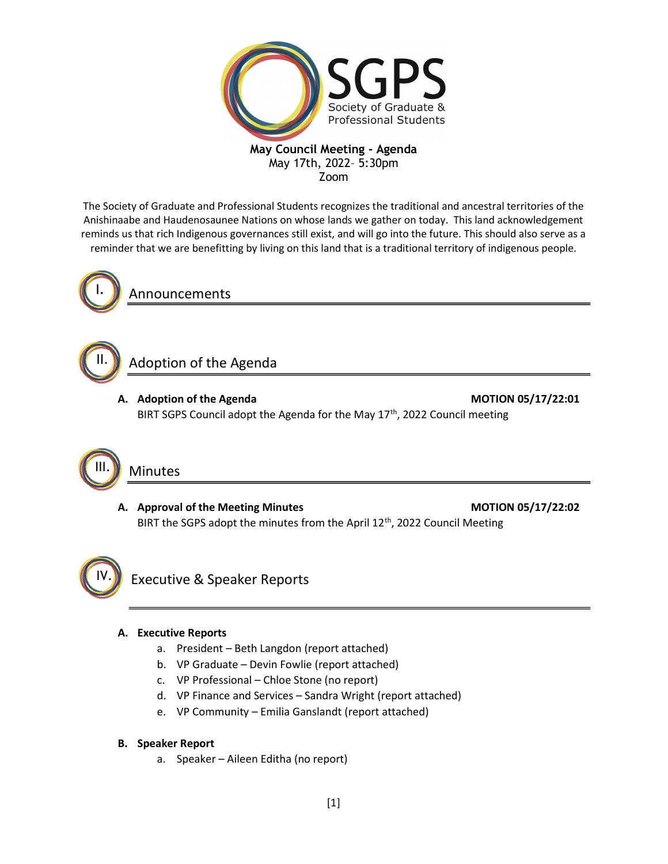

## May Council Meeting - Agenda May 17th, 2022– 5:30pm

Zoom

The Society of Graduate and Professional Students recognizes the traditional and ancestral territories of the Anishinaabe and Haudenosaunee Nations on whose lands we gather on today. This land acknowledgement reminds us that rich Indigenous governances still exist, and will go into the future. This should also serve as a reminder that we are benefitting by living on this land that is a traditional territory of indigenous people.



II.

Announcements

# Adoption of the Agenda

A. Adoption of the Agenda MOTION 05/17/22:01

BIRT SGPS Council adopt the Agenda for the May 17<sup>th</sup>, 2022 Council meeting



## Minutes

A. Approval of the Meeting Minutes MOTION 05/17/22:02 BIRT the SGPS adopt the minutes from the April  $12<sup>th</sup>$ , 2022 Council Meeting



Executive & Speaker Reports

### A. Executive Reports

- a. President Beth Langdon (report attached)
- b. VP Graduate Devin Fowlie (report attached)
- c. VP Professional Chloe Stone (no report)
- d. VP Finance and Services Sandra Wright (report attached)
- e. VP Community Emilia Ganslandt (report attached)

### B. Speaker Report

a. Speaker – Aileen Editha (no report)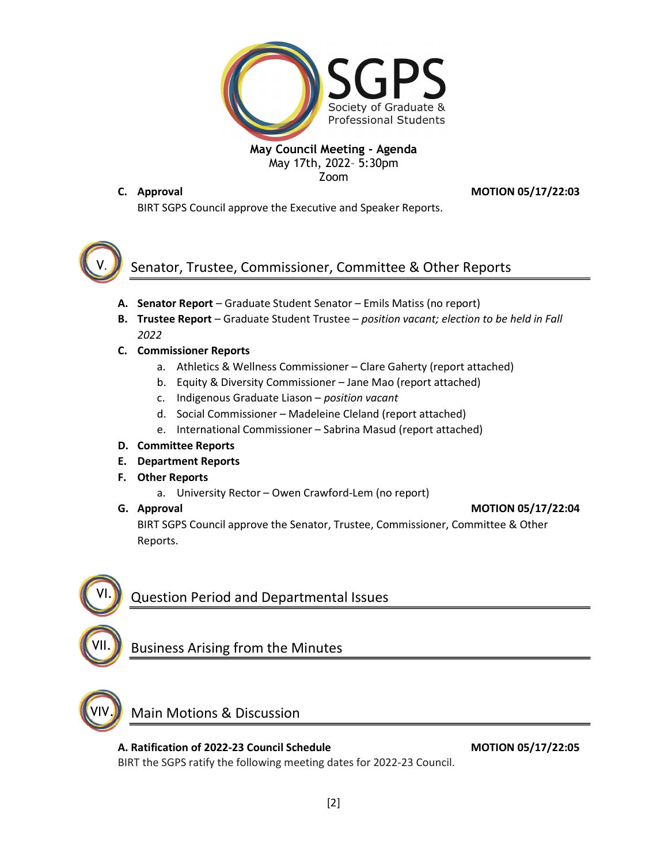

#### May Council Meeting - Agenda May 17th, 2022– 5:30pm Zoom

C. Approval **C. Approval** 

BIRT SGPS Council approve the Executive and Speaker Reports.



# Senator, Trustee, Commissioner, Committee & Other Reports

- A. Senator Report Graduate Student Senator Emils Matiss (no report)
- B. Trustee Report Graduate Student Trustee position vacant; election to be held in Fall 2022
- C. Commissioner Reports
	- a. Athletics & Wellness Commissioner Clare Gaherty (report attached)
	- b. Equity & Diversity Commissioner Jane Mao (report attached)
	- c. Indigenous Graduate Liason position vacant
	- d. Social Commissioner Madeleine Cleland (report attached)
	- e. International Commissioner Sabrina Masud (report attached)

## D. Committee Reports

- E. Department Reports
- F. Other Reports
	- a. University Rector Owen Crawford-Lem (no report)
- 

G. Approval and the control of the control of the control of the control of the control of the control of the control of the control of the control of the control of the control of the control of the control of the control

BIRT SGPS Council approve the Senator, Trustee, Commissioner, Committee & Other Reports.



VII.

Question Period and Departmental Issues

## Business Arising from the Minutes



## Main Motions & Discussion

A. Ratification of 2022-23 Council Schedule MOTION 05/17/22:05 BIRT the SGPS ratify the following meeting dates for 2022-23 Council.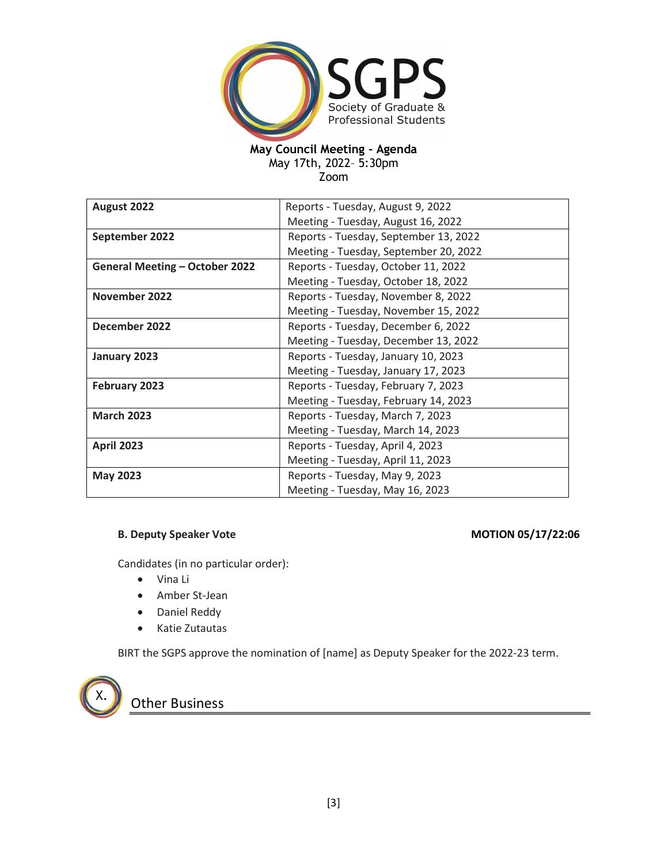

## May Council Meeting - Agenda

May 17th, 2022– 5:30pm

Zoom

| August 2022                           | Reports - Tuesday, August 9, 2022     |
|---------------------------------------|---------------------------------------|
|                                       | Meeting - Tuesday, August 16, 2022    |
| September 2022                        | Reports - Tuesday, September 13, 2022 |
|                                       | Meeting - Tuesday, September 20, 2022 |
| <b>General Meeting - October 2022</b> | Reports - Tuesday, October 11, 2022   |
|                                       | Meeting - Tuesday, October 18, 2022   |
| November 2022                         | Reports - Tuesday, November 8, 2022   |
|                                       | Meeting - Tuesday, November 15, 2022  |
| December 2022                         | Reports - Tuesday, December 6, 2022   |
|                                       | Meeting - Tuesday, December 13, 2022  |
| January 2023                          | Reports - Tuesday, January 10, 2023   |
|                                       | Meeting - Tuesday, January 17, 2023   |
| February 2023                         | Reports - Tuesday, February 7, 2023   |
|                                       | Meeting - Tuesday, February 14, 2023  |
| <b>March 2023</b>                     | Reports - Tuesday, March 7, 2023      |
|                                       | Meeting - Tuesday, March 14, 2023     |
| <b>April 2023</b>                     | Reports - Tuesday, April 4, 2023      |
|                                       | Meeting - Tuesday, April 11, 2023     |
| <b>May 2023</b>                       | Reports - Tuesday, May 9, 2023        |
|                                       | Meeting - Tuesday, May 16, 2023       |

#### B. Deputy Speaker Vote **MOTION 05/17/22:06**

Candidates (in no particular order):

- Vina Li
- Amber St-Jean
- Daniel Reddy
- Katie Zutautas

BIRT the SGPS approve the nomination of [name] as Deputy Speaker for the 2022-23 term.



**Other Business**